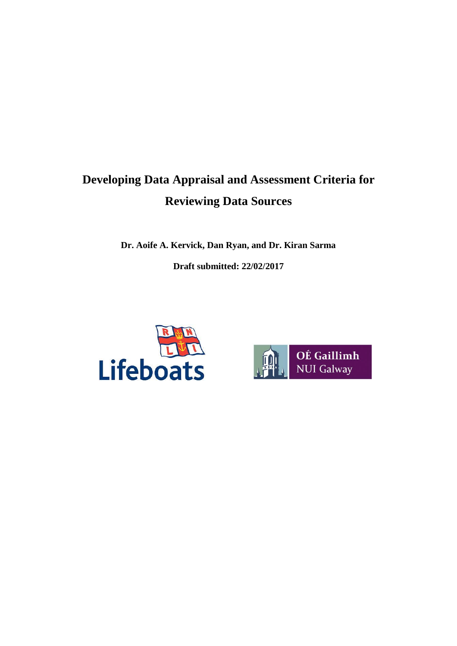# **Developing Data Appraisal and Assessment Criteria for Reviewing Data Sources**

**Dr. Aoife A. Kervick, Dan Ryan, and Dr. Kiran Sarma**

**Draft submitted: 22/02/2017**



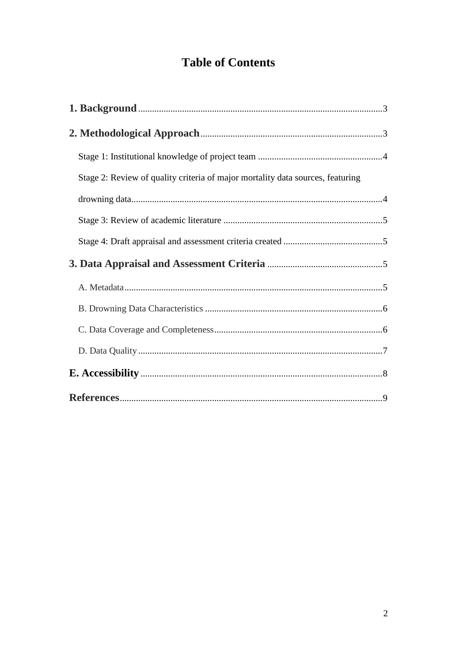# **Table of Contents**

| Stage 2: Review of quality criteria of major mortality data sources, featuring |  |
|--------------------------------------------------------------------------------|--|
|                                                                                |  |
|                                                                                |  |
|                                                                                |  |
|                                                                                |  |
|                                                                                |  |
|                                                                                |  |
|                                                                                |  |
|                                                                                |  |
|                                                                                |  |
|                                                                                |  |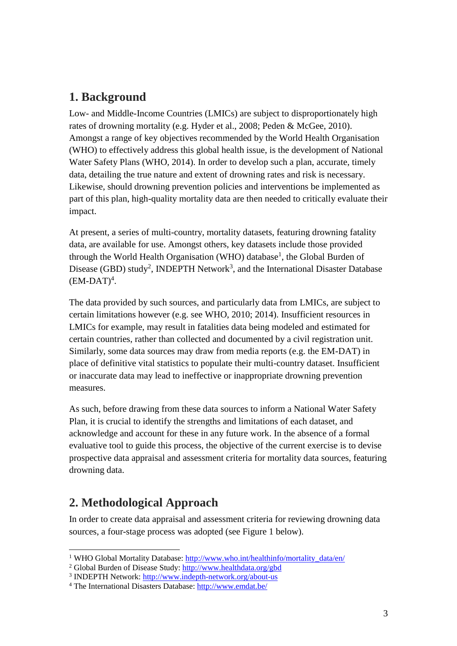## **1. Background**

Low- and Middle-Income Countries (LMICs) are subject to disproportionately high rates of drowning mortality (e.g. Hyder et al., 2008; Peden & McGee, 2010). Amongst a range of key objectives recommended by the World Health Organisation (WHO) to effectively address this global health issue, is the development of National Water Safety Plans (WHO, 2014). In order to develop such a plan, accurate, timely data, detailing the true nature and extent of drowning rates and risk is necessary. Likewise, should drowning prevention policies and interventions be implemented as part of this plan, high-quality mortality data are then needed to critically evaluate their impact.

At present, a series of multi-country, mortality datasets, featuring drowning fatality data, are available for use. Amongst others, key datasets include those provided through the World Health Organisation (WHO) database<sup>1</sup>, the Global Burden of Disease (GBD) study<sup>2</sup>, INDEPTH Network<sup>3</sup>, and the International Disaster Database  $(EM\text{-}DATA)^4$ .

The data provided by such sources, and particularly data from LMICs, are subject to certain limitations however (e.g. see WHO, 2010; 2014). Insufficient resources in LMICs for example, may result in fatalities data being modeled and estimated for certain countries, rather than collected and documented by a civil registration unit. Similarly, some data sources may draw from media reports (e.g. the EM-DAT) in place of definitive vital statistics to populate their multi-country dataset. Insufficient or inaccurate data may lead to ineffective or inappropriate drowning prevention measures.

As such, before drawing from these data sources to inform a National Water Safety Plan, it is crucial to identify the strengths and limitations of each dataset, and acknowledge and account for these in any future work. In the absence of a formal evaluative tool to guide this process, the objective of the current exercise is to devise prospective data appraisal and assessment criteria for mortality data sources, featuring drowning data.

## **2. Methodological Approach**

In order to create data appraisal and assessment criteria for reviewing drowning data sources, a four-stage process was adopted (see Figure 1 below).

 $\overline{\phantom{a}}$ <sup>1</sup> WHO Global Mortality Database: [http://www.who.int/healthinfo/mortality\\_data/en/](http://www.who.int/healthinfo/mortality_data/en/)

<sup>2</sup> Global Burden of Disease Study: <http://www.healthdata.org/gbd>

<sup>&</sup>lt;sup>3</sup> INDEPTH Network:<http://www.indepth-network.org/about-us>

<sup>4</sup> The International Disasters Database[: http://www.emdat.be/](http://www.emdat.be/)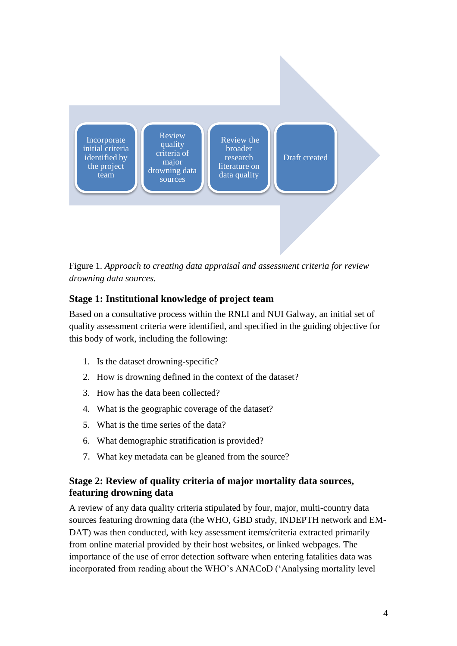

Figure 1. *Approach to creating data appraisal and assessment criteria for review drowning data sources.*

#### **Stage 1: Institutional knowledge of project team**

Based on a consultative process within the RNLI and NUI Galway, an initial set of quality assessment criteria were identified, and specified in the guiding objective for this body of work, including the following:

- 1. Is the dataset drowning-specific?
- 2. How is drowning defined in the context of the dataset?
- 3. How has the data been collected?
- 4. What is the geographic coverage of the dataset?
- 5. What is the time series of the data?
- 6. What demographic stratification is provided?
- 7. What key metadata can be gleaned from the source?

#### **Stage 2: Review of quality criteria of major mortality data sources, featuring drowning data**

A review of any data quality criteria stipulated by four, major, multi-country data sources featuring drowning data (the WHO, GBD study, INDEPTH network and EM-DAT) was then conducted, with key assessment items/criteria extracted primarily from online material provided by their host websites, or linked webpages. The importance of the use of error detection software when entering fatalities data was incorporated from reading about the WHO's ANACoD ('Analysing mortality level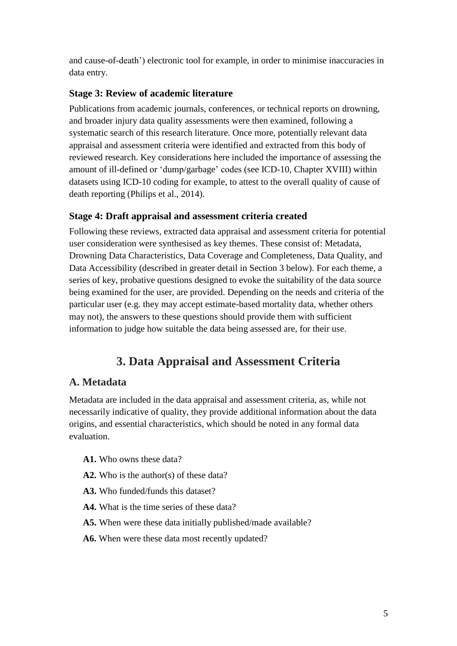and cause-of-death') electronic tool for example, in order to minimise inaccuracies in data entry.

#### **Stage 3: Review of academic literature**

Publications from academic journals, conferences, or technical reports on drowning, and broader injury data quality assessments were then examined, following a systematic search of this research literature. Once more, potentially relevant data appraisal and assessment criteria were identified and extracted from this body of reviewed research. Key considerations here included the importance of assessing the amount of ill-defined or 'dump/garbage' codes (see ICD-10, Chapter XVIII) within datasets using ICD-10 coding for example, to attest to the overall quality of cause of death reporting (Philips et al., 2014).

#### **Stage 4: Draft appraisal and assessment criteria created**

Following these reviews, extracted data appraisal and assessment criteria for potential user consideration were synthesised as key themes. These consist of: Metadata, Drowning Data Characteristics, Data Coverage and Completeness, Data Quality, and Data Accessibility (described in greater detail in Section 3 below). For each theme, a series of key, probative questions designed to evoke the suitability of the data source being examined for the user, are provided. Depending on the needs and criteria of the particular user (e.g. they may accept estimate-based mortality data, whether others may not), the answers to these questions should provide them with sufficient information to judge how suitable the data being assessed are, for their use.

## **3. Data Appraisal and Assessment Criteria**

### **A. Metadata**

Metadata are included in the data appraisal and assessment criteria, as, while not necessarily indicative of quality, they provide additional information about the data origins, and essential characteristics, which should be noted in any formal data evaluation.

- **A1.** Who owns these data?
- **A2.** Who is the author(s) of these data?
- **A3.** Who funded/funds this dataset?
- **A4.** What is the time series of these data?
- **A5.** When were these data initially published/made available?
- **A6.** When were these data most recently updated?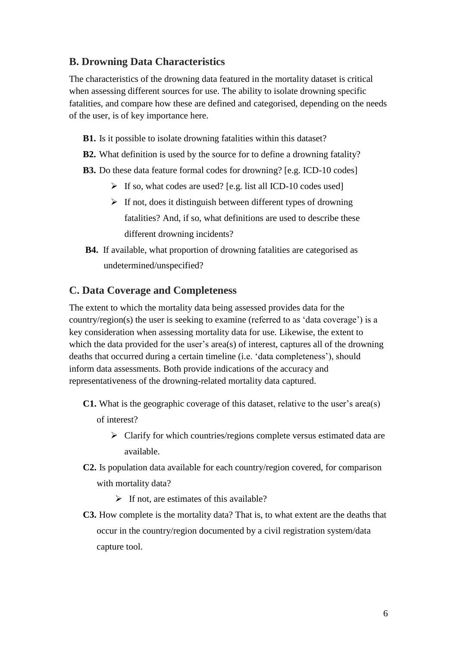#### **B. Drowning Data Characteristics**

The characteristics of the drowning data featured in the mortality dataset is critical when assessing different sources for use. The ability to isolate drowning specific fatalities, and compare how these are defined and categorised, depending on the needs of the user, is of key importance here.

- **B1.** Is it possible to isolate drowning fatalities within this dataset?
- **B2.** What definition is used by the source for to define a drowning fatality?
- **B3.** Do these data feature formal codes for drowning? [e.g. ICD-10 codes]
	- $\triangleright$  If so, what codes are used? [e.g. list all ICD-10 codes used]
	- $\triangleright$  If not, does it distinguish between different types of drowning fatalities? And, if so, what definitions are used to describe these different drowning incidents?
- **B4.** If available, what proportion of drowning fatalities are categorised as undetermined/unspecified?

#### **C. Data Coverage and Completeness**

The extent to which the mortality data being assessed provides data for the country/region(s) the user is seeking to examine (referred to as 'data coverage') is a key consideration when assessing mortality data for use. Likewise, the extent to which the data provided for the user's area(s) of interest, captures all of the drowning deaths that occurred during a certain timeline (i.e. 'data completeness'), should inform data assessments. Both provide indications of the accuracy and representativeness of the drowning-related mortality data captured.

- **C1.** What is the geographic coverage of this dataset, relative to the user's area(s)
	- of interest?
		- $\triangleright$  Clarify for which countries/regions complete versus estimated data are available.
- **C2.** Is population data available for each country/region covered, for comparison with mortality data?
	- $\triangleright$  If not, are estimates of this available?
- **C3.** How complete is the mortality data? That is, to what extent are the deaths that occur in the country/region documented by a civil registration system/data capture tool.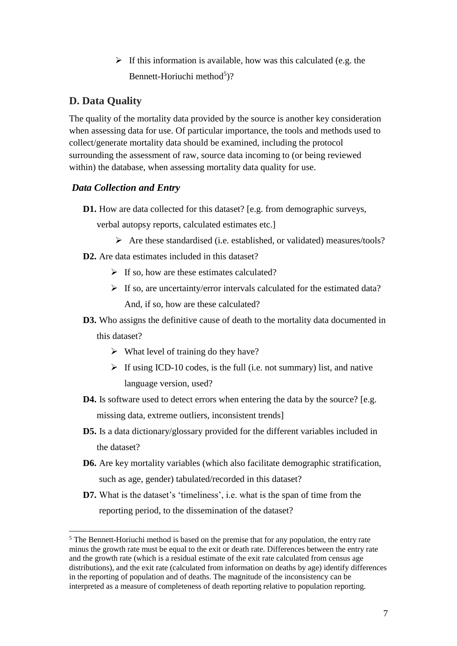$\triangleright$  If this information is available, how was this calculated (e.g. the Bennett-Horiuchi method<sup>5</sup>)?

#### **D. Data Quality**

 $\overline{\phantom{a}}$ 

The quality of the mortality data provided by the source is another key consideration when assessing data for use. Of particular importance, the tools and methods used to collect/generate mortality data should be examined, including the protocol surrounding the assessment of raw, source data incoming to (or being reviewed within) the database, when assessing mortality data quality for use.

#### *Data Collection and Entry*

**D1.** How are data collected for this dataset? [e.g. from demographic surveys,

verbal autopsy reports, calculated estimates etc.]

 $\triangleright$  Are these standardised (i.e. established, or validated) measures/tools?

**D2.** Are data estimates included in this dataset?

- $\triangleright$  If so, how are these estimates calculated?
- $\triangleright$  If so, are uncertainty/error intervals calculated for the estimated data? And, if so, how are these calculated?
- **D3.** Who assigns the definitive cause of death to the mortality data documented in this dataset?
	- $\triangleright$  What level of training do they have?
	- $\triangleright$  If using ICD-10 codes, is the full (i.e. not summary) list, and native language version, used?
- **D4.** Is software used to detect errors when entering the data by the source? [e.g. missing data, extreme outliers, inconsistent trends]
- **D5.** Is a data dictionary/glossary provided for the different variables included in the dataset?
- **D6.** Are key mortality variables (which also facilitate demographic stratification, such as age, gender) tabulated/recorded in this dataset?
- **D7.** What is the dataset's 'timeliness', i.e. what is the span of time from the reporting period, to the dissemination of the dataset?

<sup>&</sup>lt;sup>5</sup> The Bennett-Horiuchi method is based on the premise that for any population, the entry rate minus the growth rate must be equal to the exit or death rate. Differences between the entry rate and the growth rate (which is a residual estimate of the exit rate calculated from census age distributions), and the exit rate (calculated from information on deaths by age) identify differences in the reporting of population and of deaths. The magnitude of the inconsistency can be interpreted as a measure of completeness of death reporting relative to population reporting.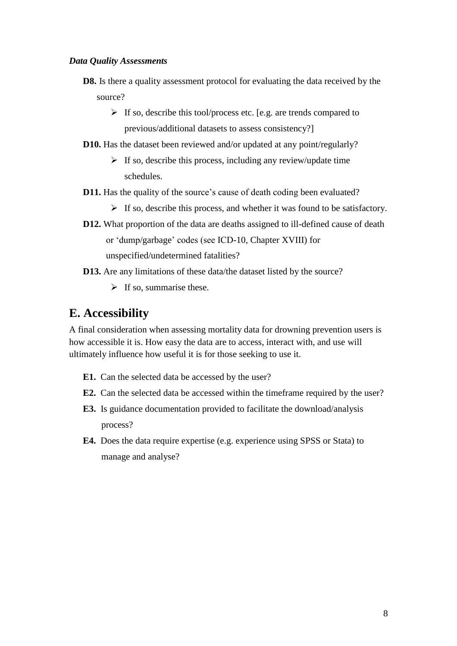#### *Data Quality Assessments*

- **D8.** Is there a quality assessment protocol for evaluating the data received by the source?
	- $\triangleright$  If so, describe this tool/process etc. [e.g. are trends compared to previous/additional datasets to assess consistency?]
- **D10.** Has the dataset been reviewed and/or updated at any point/regularly?
	- $\triangleright$  If so, describe this process, including any review/update time schedules.
- **D11.** Has the quality of the source's cause of death coding been evaluated?
	- $\triangleright$  If so, describe this process, and whether it was found to be satisfactory.
- **D12.** What proportion of the data are deaths assigned to ill-defined cause of death or 'dump/garbage' codes (see ICD-10, Chapter XVIII) for unspecified/undetermined fatalities?
- **D13.** Are any limitations of these data/the dataset listed by the source?
	- $\triangleright$  If so, summarise these.

## **E. Accessibility**

A final consideration when assessing mortality data for drowning prevention users is how accessible it is. How easy the data are to access, interact with, and use will ultimately influence how useful it is for those seeking to use it.

- **E1.** Can the selected data be accessed by the user?
- **E2.** Can the selected data be accessed within the timeframe required by the user?
- **E3.** Is guidance documentation provided to facilitate the download/analysis process?
- **E4.** Does the data require expertise (e.g. experience using SPSS or Stata) to manage and analyse?